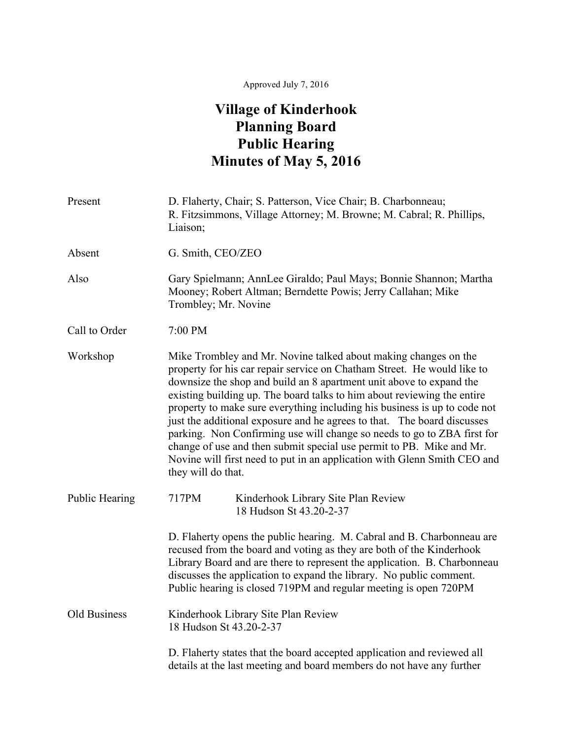## Approved July 7, 2016

## **Village of Kinderhook Planning Board Public Hearing Minutes of May 5, 2016**

| Present               | D. Flaherty, Chair; S. Patterson, Vice Chair; B. Charbonneau;<br>R. Fitzsimmons, Village Attorney; M. Browne; M. Cabral; R. Phillips,<br>Liaison;                                                                                                                                                                                                                                                                                                                                                                                                                                                                                                                                                         |
|-----------------------|-----------------------------------------------------------------------------------------------------------------------------------------------------------------------------------------------------------------------------------------------------------------------------------------------------------------------------------------------------------------------------------------------------------------------------------------------------------------------------------------------------------------------------------------------------------------------------------------------------------------------------------------------------------------------------------------------------------|
| Absent                | G. Smith, CEO/ZEO                                                                                                                                                                                                                                                                                                                                                                                                                                                                                                                                                                                                                                                                                         |
| Also                  | Gary Spielmann; AnnLee Giraldo; Paul Mays; Bonnie Shannon; Martha<br>Mooney; Robert Altman; Berndette Powis; Jerry Callahan; Mike<br>Trombley; Mr. Novine                                                                                                                                                                                                                                                                                                                                                                                                                                                                                                                                                 |
| Call to Order         | 7:00 PM                                                                                                                                                                                                                                                                                                                                                                                                                                                                                                                                                                                                                                                                                                   |
| Workshop              | Mike Trombley and Mr. Novine talked about making changes on the<br>property for his car repair service on Chatham Street. He would like to<br>downsize the shop and build an 8 apartment unit above to expand the<br>existing building up. The board talks to him about reviewing the entire<br>property to make sure everything including his business is up to code not<br>just the additional exposure and he agrees to that. The board discusses<br>parking. Non Confirming use will change so needs to go to ZBA first for<br>change of use and then submit special use permit to PB. Mike and Mr.<br>Novine will first need to put in an application with Glenn Smith CEO and<br>they will do that. |
| <b>Public Hearing</b> | 717PM<br>Kinderhook Library Site Plan Review<br>18 Hudson St 43.20-2-37                                                                                                                                                                                                                                                                                                                                                                                                                                                                                                                                                                                                                                   |
|                       | D. Flaherty opens the public hearing. M. Cabral and B. Charbonneau are<br>recused from the board and voting as they are both of the Kinderhook<br>Library Board and are there to represent the application. B. Charbonneau<br>discusses the application to expand the library. No public comment.<br>Public hearing is closed 719PM and regular meeting is open 720PM                                                                                                                                                                                                                                                                                                                                     |
| <b>Old Business</b>   | Kinderhook Library Site Plan Review<br>18 Hudson St 43.20-2-37                                                                                                                                                                                                                                                                                                                                                                                                                                                                                                                                                                                                                                            |
|                       | D. Flaherty states that the board accepted application and reviewed all<br>details at the last meeting and board members do not have any further                                                                                                                                                                                                                                                                                                                                                                                                                                                                                                                                                          |